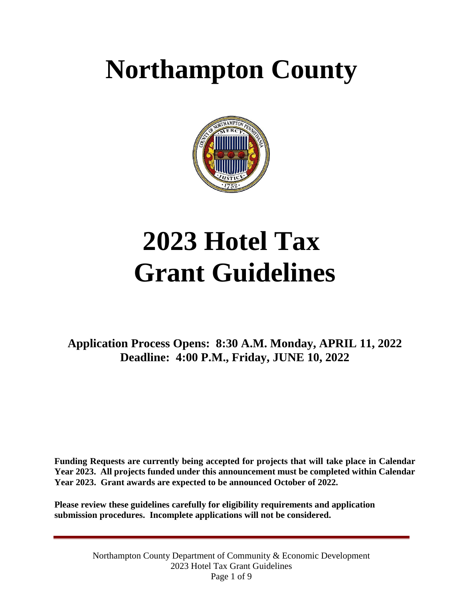## **Northampton County**



# **2023 Hotel Tax Grant Guidelines**

 **Deadline: 4:00 P.M., Friday, JUNE 10, 2022 Application Process Opens: 8:30 A.M. Monday, APRIL 11, 2022** 

 **Funding Requests are currently being accepted for projects that will take place in Calendar Year 2023. All projects funded under this announcement must be completed within Calendar Year 2023. Grant awards are expected to be announced October of 2022.** 

 **submission procedures. Incomplete applications will not be considered. Please review these guidelines carefully for eligibility requirements and application**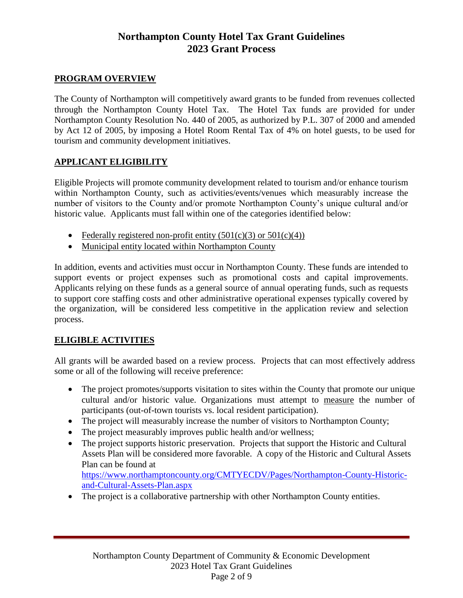### **Northampton County Hotel Tax Grant Guidelines 2023 Grant Process**

#### **PROGRAM OVERVIEW**

 The County of Northampton will competitively award grants to be funded from revenues collected through the Northampton County Hotel Tax. The Hotel Tax funds are provided for under by Act 12 of 2005, by imposing a Hotel Room Rental Tax of 4% on hotel guests, to be used for Northampton County Resolution No. 440 of 2005, as authorized by P.L. 307 of 2000 and amended tourism and community development initiatives.

#### **APPLICANT ELIGIBILITY**

Eligible Projects will promote community development related to tourism and/or enhance tourism within Northampton County, such as activities/events/venues which measurably increase the number of visitors to the County and/or promote Northampton County's unique cultural and/or historic value. Applicants must fall within one of the categories identified below:

- Federally registered non-profit entity  $(501(c)(3)$  or  $501(c)(4))$
- Municipal entity located within Northampton County

 Applicants relying on these funds as a general source of annual operating funds, such as requests to support core staffing costs and other administrative operational expenses typically covered by the organization, will be considered less competitive in the application review and selection In addition, events and activities must occur in Northampton County. These funds are intended to support events or project expenses such as promotional costs and capital improvements. process.

#### **ELIGIBLE ACTIVITIES**

 All grants will be awarded based on a review process. Projects that can most effectively address some or all of the following will receive preference:

- cultural and/or historic value. Organizations must attempt to measure the number of • The project promotes/supports visitation to sites within the County that promote our unique participants (out-of-town tourists vs. local resident participation).
- The project will measurably increase the number of visitors to Northampton County;
- The project measurably improves public health and/or wellness;
- The project supports historic preservation. Projects that support the Historic and Cultural Assets Plan will be considered more favorable. A copy of the Historic and Cultural Assets Plan can be found at [https://www.northamptoncounty.org/CMTYECDV/Pages/Northampton-County-Historic](https://www.northamptoncounty.org/CMTYECDV/Pages/Northampton-County-Historic-and-Cultural-Assets-Plan.aspx)[and-Cultural-Assets-Plan.aspx](https://www.northamptoncounty.org/CMTYECDV/Pages/Northampton-County-Historic-and-Cultural-Assets-Plan.aspx)
- The project is a collaborative partnership with other Northampton County entities.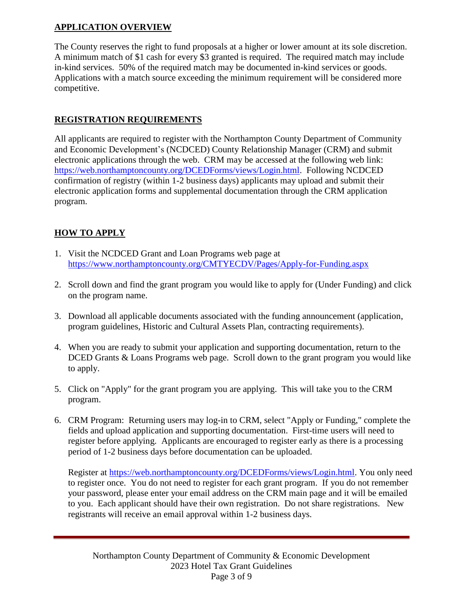#### **APPLICATION OVERVIEW**

The County reserves the right to fund proposals at a higher or lower amount at its sole discretion. A minimum match of \$1 cash for every \$3 granted is required. The required match may include in-kind services. 50% of the required match may be documented in-kind services or goods. Applications with a match source exceeding the minimum requirement will be considered more competitive.

#### **REGISTRATION REQUIREMENTS**

All applicants are required to register with the Northampton County Department of Community and Economic Development's (NCDCED) County Relationship Manager (CRM) and submit electronic applications through the web. CRM may be accessed at the following web link: [https://web.northamptoncounty.org/DCEDForms/views/Login.html.](https://web.northamptoncounty.org/DCEDForms/views/Login.html) Following NCDCED confirmation of registry (within 1-2 business days) applicants may upload and submit their electronic application forms and supplemental documentation through the CRM application program.

#### **HOW TO APPLY**

- 1. Visit the NCDCED Grant and Loan Programs web page at <https://www.northamptoncounty.org/CMTYECDV/Pages/Apply-for-Funding.aspx>
- 2. Scroll down and find the grant program you would like to apply for (Under Funding) and click on the program name.
- 3. Download all applicable documents associated with the funding announcement (application, program guidelines, Historic and Cultural Assets Plan, contracting requirements).
- 4. When you are ready to submit your application and supporting documentation, return to the DCED Grants & Loans Programs web page. Scroll down to the grant program you would like to apply.
- 5. Click on "Apply" for the grant program you are applying. This will take you to the CRM program.
- 6. CRM Program: Returning users may log-in to CRM, select "Apply or Funding," complete the fields and upload application and supporting documentation. First-time users will need to register before applying. Applicants are encouraged to register early as there is a processing period of 1-2 business days before documentation can be uploaded.

Register at [https://web.northamptoncounty.org/DCEDForms/views/Login.html.](https://web.northamptoncounty.org/DCEDForms/views/Login.html) You only need to register once. You do not need to register for each grant program. If you do not remember your password, please enter your email address on the CRM main page and it will be emailed to you. Each applicant should have their own registration. Do not share registrations. New registrants will receive an email approval within 1-2 business days.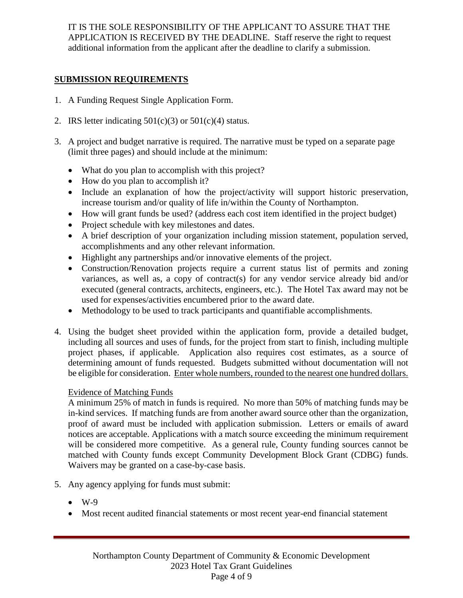IT IS THE SOLE RESPONSIBILITY OF THE APPLICANT TO ASSURE THAT THE APPLICATION IS RECEIVED BY THE DEADLINE. Staff reserve the right to request additional information from the applicant after the deadline to clarify a submission.

#### **SUBMISSION REQUIREMENTS**

- 1. A Funding Request Single Application Form.
- 2. IRS letter indicating  $501(c)(3)$  or  $501(c)(4)$  status.
- 3. A project and budget narrative is required. The narrative must be typed on a separate page (limit three pages) and should include at the minimum:
	- What do you plan to accomplish with this project?
	- How do you plan to accomplish it?
	- Include an explanation of how the project/activity will support historic preservation, increase tourism and/or quality of life in/within the County of Northampton.
	- How will grant funds be used? (address each cost item identified in the project budget)
	- Project schedule with key milestones and dates.
	- accomplishments and any other relevant information. A brief description of your organization including mission statement, population served,
	- Highlight any partnerships and/or innovative elements of the project.
	- Construction/Renovation projects require a current status list of permits and zoning variances, as well as, a copy of contract(s) for any vendor service already bid and/or executed (general contracts, architects, engineers, etc.). The Hotel Tax award may not be used for expenses/activities encumbered prior to the award date.
	- Methodology to be used to track participants and quantifiable accomplishments.
- including all sources and uses of funds, for the project from start to finish, including multiple project phases, if applicable. Application also requires cost estimates, as a source of determining amount of funds requested. Budgets submitted without documentation will not be eligible for consideration. Enter whole numbers, rounded to the nearest one hundred dollars. 4. Using the budget sheet provided within the application form, provide a detailed budget,

#### Evidence of Matching Funds

 A minimum 25% of match in funds is required. No more than 50% of matching funds may be in-kind services. If matching funds are from another award source other than the organization, proof of award must be included with application submission. Letters or emails of award notices are acceptable. Applications with a match source exceeding the minimum requirement will be considered more competitive. As a general rule, County funding sources cannot be matched with County funds except Community Development Block Grant (CDBG) funds. Waivers may be granted on a case-by-case basis.

- 5. Any agency applying for funds must submit:
	- $\bullet$  W-9
	- Most recent audited financial statements or most recent year-end financial statement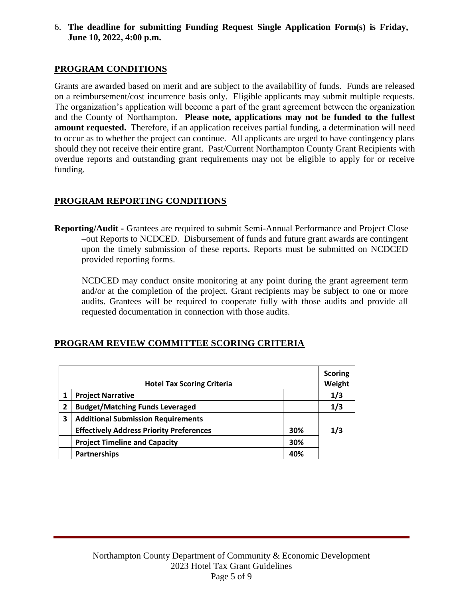6. **The deadline for submitting Funding Request Single Application Form(s) is Friday, June 10, 2022, 4:00 p.m.**

#### **PROGRAM CONDITIONS**

Grants are awarded based on merit and are subject to the availability of funds. Funds are released on a reimbursement/cost incurrence basis only. Eligible applicants may submit multiple requests. The organization's application will become a part of the grant agreement between the organization and the County of Northampton. **Please note, applications may not be funded to the fullest amount requested.** Therefore, if an application receives partial funding, a determination will need to occur as to whether the project can continue. All applicants are urged to have contingency plans should they not receive their entire grant. Past/Current Northampton County Grant Recipients with overdue reports and outstanding grant requirements may not be eligible to apply for or receive funding.

#### **PROGRAM REPORTING CONDITIONS**

 upon the timely submission of these reports. Reports must be submitted on NCDCED **Reporting/Audit -** Grantees are required to submit Semi-Annual Performance and Project Close –out Reports to NCDCED. Disbursement of funds and future grant awards are contingent provided reporting forms.

 NCDCED may conduct onsite monitoring at any point during the grant agreement term and/or at the completion of the project. Grant recipients may be subject to one or more audits. Grantees will be required to cooperate fully with those audits and provide all requested documentation in connection with those audits.

| <b>Hotel Tax Scoring Criteria</b> |                                                 |     | <b>Scoring</b><br>Weight |
|-----------------------------------|-------------------------------------------------|-----|--------------------------|
| 1                                 | <b>Project Narrative</b>                        |     | 1/3                      |
| $\overline{2}$                    | <b>Budget/Matching Funds Leveraged</b>          |     | 1/3                      |
| 3                                 | <b>Additional Submission Requirements</b>       |     |                          |
|                                   | <b>Effectively Address Priority Preferences</b> | 30% | 1/3                      |
|                                   | <b>Project Timeline and Capacity</b>            | 30% |                          |
|                                   | Partnerships                                    | 40% |                          |

#### **PROGRAM REVIEW COMMITTEE SCORING CRITERIA**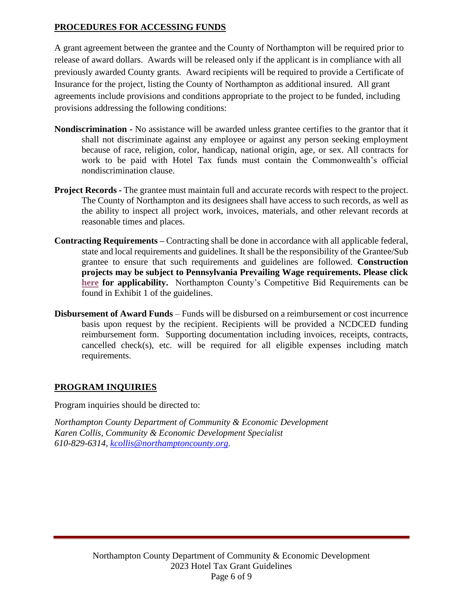#### **PROCEDURES FOR ACCESSING FUNDS**

A grant agreement between the grantee and the County of Northampton will be required prior to release of award dollars. Awards will be released only if the applicant is in compliance with all previously awarded County grants. Award recipients will be required to provide a Certificate of Insurance for the project, listing the County of Northampton as additional insured. All grant agreements include provisions and conditions appropriate to the project to be funded, including provisions addressing the following conditions:

- **Nondiscrimination -** No assistance will be awarded unless grantee certifies to the grantor that it shall not discriminate against any employee or against any person seeking employment because of race, religion, color, handicap, national origin, age, or sex. All contracts for work to be paid with Hotel Tax funds must contain the Commonwealth's official nondiscrimination clause.
- **Project Records -** The grantee must maintain full and accurate records with respect to the project. The County of Northampton and its designees shall have access to such records, as well as the ability to inspect all project work, invoices, materials, and other relevant records at reasonable times and places.
- **Contracting Requirements –** Contracting shall be done in accordance with all applicable federal, state and local requirements and guidelines. It shall be the responsibility of the Grantee/Sub  **projects may be subject to Pennsylvania Prevailing Wage requirements. Please click**  grantee to ensure that such requirements and guidelines are followed. **Construction [here](http://www.dli.pa.gov/Individuals/Labor-Management-Relations/llc/prevailing-wage/Pages/default.aspx) for applicability.** Northampton County's Competitive Bid Requirements can be found in Exhibit 1 of the guidelines.
- **Disbursement of Award Funds**  Funds will be disbursed on a reimbursement or cost incurrence basis upon request by the recipient. Recipients will be provided a NCDCED funding cancelled check(s), etc. will be required for all eligible expenses including match reimbursement form. Supporting documentation including invoices, receipts, contracts, requirements.

#### **PROGRAM INQUIRIES**

Program inquiries should be directed to:

*Northampton County Department of Community & Economic Development Karen Collis, Community & Economic Development Specialist 610-829-6314, [kcollis@northamptoncounty.org.](mailto:kcollis@northamptoncounty.org)*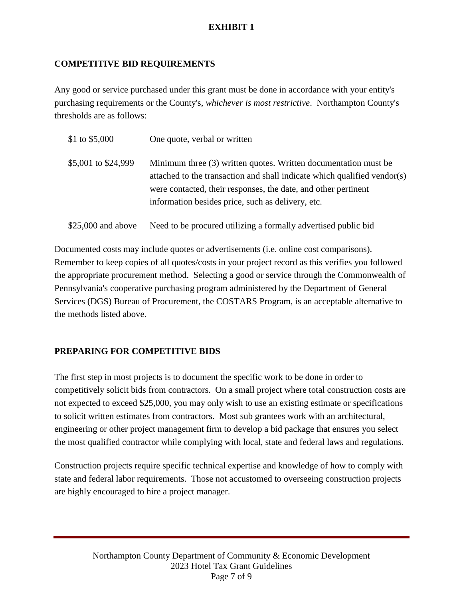#### **EXHIBIT 1**

#### **COMPETITIVE BID REQUIREMENTS**

Any good or service purchased under this grant must be done in accordance with your entity's purchasing requirements or the County's, *whichever is most restrictive*. Northampton County's thresholds are as follows:

| \$1 to \$5,000      | One quote, verbal or written                                                                                                                                                                                                                                       |
|---------------------|--------------------------------------------------------------------------------------------------------------------------------------------------------------------------------------------------------------------------------------------------------------------|
| \$5,001 to \$24,999 | Minimum three (3) written quotes. Written documentation must be<br>attached to the transaction and shall indicate which qualified vendor(s)<br>were contacted, their responses, the date, and other pertinent<br>information besides price, such as delivery, etc. |
| $$25,000$ and above | Need to be procured utilizing a formally advertised public bid                                                                                                                                                                                                     |

 the appropriate procurement method. Selecting a good or service through the Commonwealth of Documented costs may include quotes or advertisements (i.e. online cost comparisons). Remember to keep copies of all quotes/costs in your project record as this verifies you followed Pennsylvania's cooperative purchasing program administered by the Department of General Services (DGS) Bureau of Procurement, the COSTARS Program, is an acceptable alternative to the methods listed above.

#### **PREPARING FOR COMPETITIVE BIDS**

The first step in most projects is to document the specific work to be done in order to competitively solicit bids from contractors. On a small project where total construction costs are not expected to exceed \$25,000, you may only wish to use an existing estimate or specifications to solicit written estimates from contractors. Most sub grantees work with an architectural, engineering or other project management firm to develop a bid package that ensures you select the most qualified contractor while complying with local, state and federal laws and regulations.

Construction projects require specific technical expertise and knowledge of how to comply with state and federal labor requirements. Those not accustomed to overseeing construction projects are highly encouraged to hire a project manager.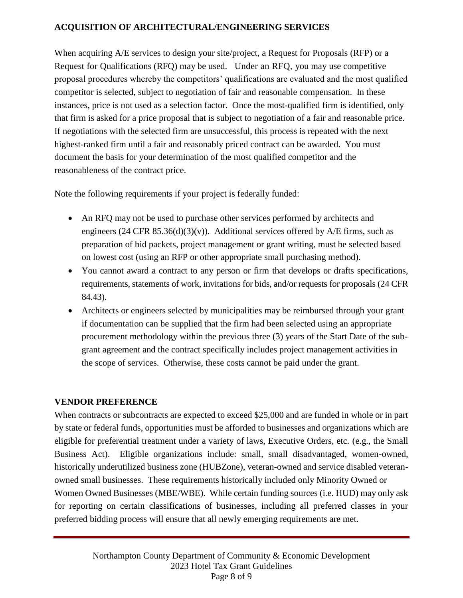#### **ACQUISITION OF ARCHITECTURAL/ENGINEERING SERVICES**

When acquiring A/E services to design your site/project, a Request for Proposals (RFP) or a Request for Qualifications (RFQ) may be used. Under an RFQ, you may use competitive proposal procedures whereby the competitors' qualifications are evaluated and the most qualified competitor is selected, subject to negotiation of fair and reasonable compensation. In these instances, price is not used as a selection factor. Once the most-qualified firm is identified, only that firm is asked for a price proposal that is subject to negotiation of a fair and reasonable price. If negotiations with the selected firm are unsuccessful, this process is repeated with the next highest-ranked firm until a fair and reasonably priced contract can be awarded. You must document the basis for your determination of the most qualified competitor and the reasonableness of the contract price.

Note the following requirements if your project is federally funded:

- An RFQ may not be used to purchase other services performed by architects and engineers (24 CFR 85.36(d)(3)(v)). Additional services offered by  $A/E$  firms, such as preparation of bid packets, project management or grant writing, must be selected based on lowest cost (using an RFP or other appropriate small purchasing method).
- You cannot award a contract to any person or firm that develops or drafts specifications, requirements, statements of work, invitations for bids, and/or requests for proposals (24 CFR 84.43).
- Architects or engineers selected by municipalities may be reimbursed through your grant if documentation can be supplied that the firm had been selected using an appropriate procurement methodology within the previous three (3) years of the Start Date of the subgrant agreement and the contract specifically includes project management activities in the scope of services. Otherwise, these costs cannot be paid under the grant.

#### **VENDOR PREFERENCE**

 When contracts or subcontracts are expected to exceed \$25,000 and are funded in whole or in part by state or federal funds, opportunities must be afforded to businesses and organizations which are eligible for preferential treatment under a variety of laws, Executive Orders, etc. (e.g., the Small Business Act). Eligible organizations include: small, small disadvantaged, women-owned, Women Owned Businesses (MBE/WBE). While certain funding sources (i.e. HUD) may only ask for reporting on certain classifications of businesses, including all preferred classes in your historically underutilized business zone (HUBZone), veteran-owned and service disabled veteranowned small businesses. These requirements historically included only Minority Owned or preferred bidding process will ensure that all newly emerging requirements are met.